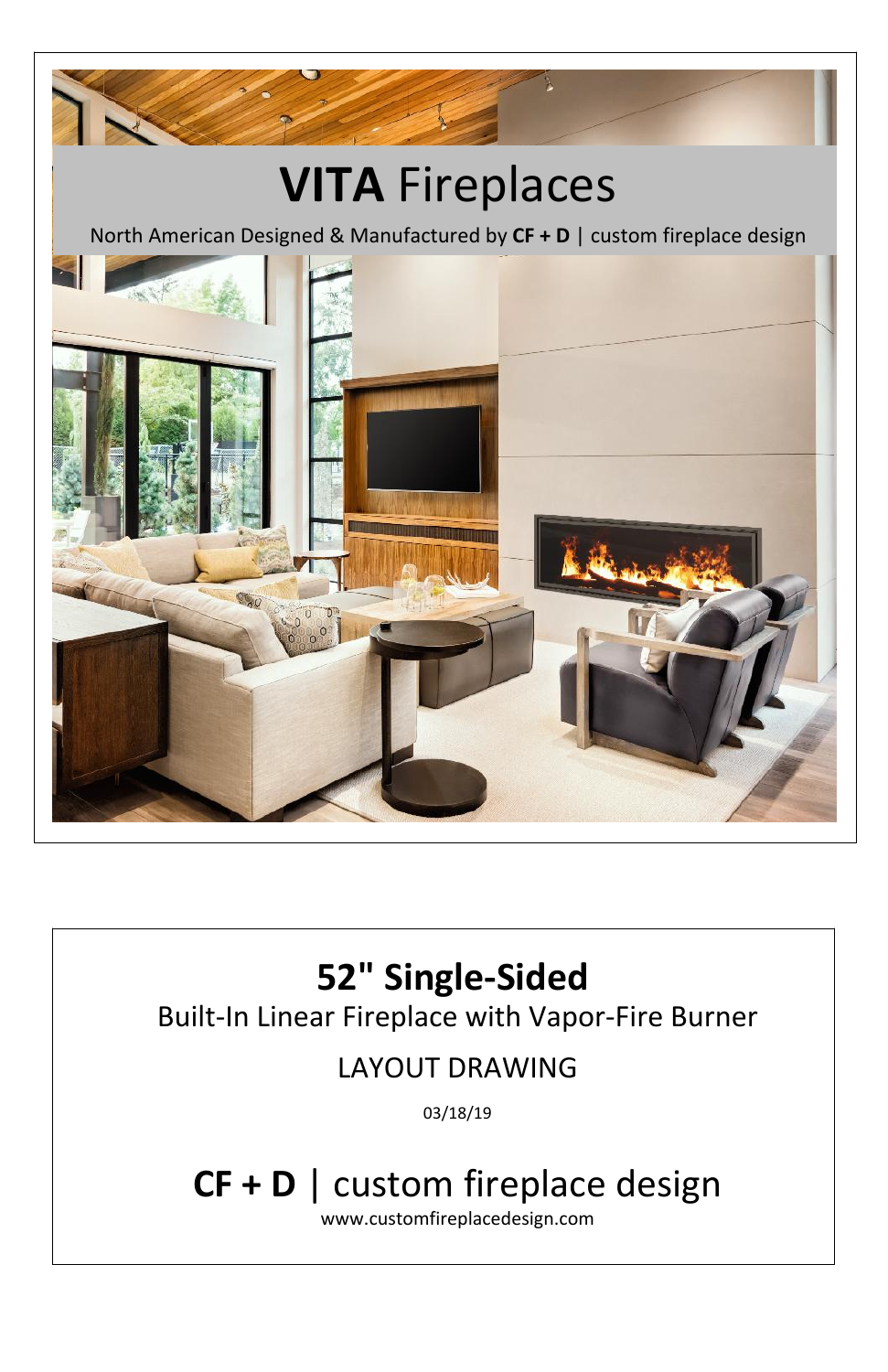## **52" Single-Sided**  Built-In Linear Fireplace with Vapor-Fire Burner LAYOUT DRAWING 03/18/19 **CF + D** | custom fireplace design www.customfireplacedesign.com



## **VITA** Fireplaces

North American Designed & Manufactured by **CF + D** | custom fireplace design

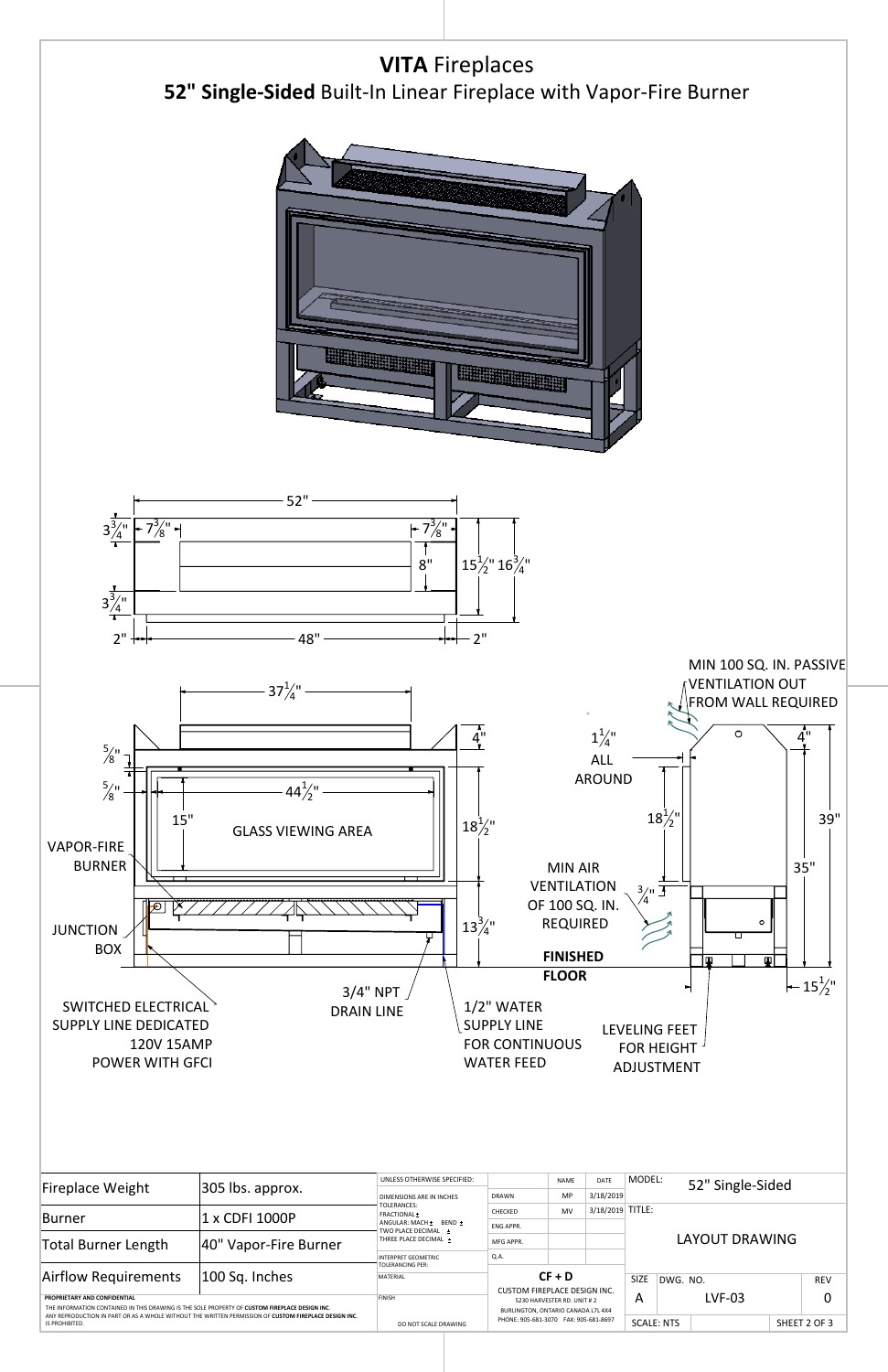

| <b>SUPPLY LINE DEDICATED</b><br>120V 15AMP<br><b>POWER WITH GFCI</b>                                                                                                                                                                                      |                       | <b>DRAIN LINE</b>                              | $\pm$ / $\epsilon$ vv/ $\lambda$ i $\epsilon$ is $\lambda$<br><b>SUPPLY LINE</b><br><b>FOR CONTINUOUS</b><br><b>WATER FEED</b> |                                                                   |                  |             | <b>LEVELING FEET</b><br><b>FOR HEIGHT -</b><br><b>ADJUSTMENT</b> |                       |                  |   |  |
|-----------------------------------------------------------------------------------------------------------------------------------------------------------------------------------------------------------------------------------------------------------|-----------------------|------------------------------------------------|--------------------------------------------------------------------------------------------------------------------------------|-------------------------------------------------------------------|------------------|-------------|------------------------------------------------------------------|-----------------------|------------------|---|--|
| <b>Fireplace Weight</b>                                                                                                                                                                                                                                   | 305 lbs. approx.      | UNLESS OTHERWISE SPECIFIED:                    |                                                                                                                                | <b>NAME</b>                                                       | DATE             | MODEL:      |                                                                  |                       | 52" Single-Sided |   |  |
|                                                                                                                                                                                                                                                           |                       | DIMENSIONS ARE IN INCHES<br><b>TOLERANCES:</b> | <b>DRAWN</b>                                                                                                                   | MP                                                                | 3/18/2019        |             |                                                                  |                       |                  |   |  |
| <b>Burner</b>                                                                                                                                                                                                                                             | 1 x CDFI 1000P        | FRACTIONAL ±                                   | CHECKED                                                                                                                        | <b>MV</b>                                                         | 3/18/2019 TITLE: |             |                                                                  |                       |                  |   |  |
|                                                                                                                                                                                                                                                           |                       | ANGULAR: MACH + BEND +<br>TWO PLACE DECIMAL +  | ENG APPR.                                                                                                                      |                                                                   |                  |             |                                                                  |                       |                  |   |  |
| <b>Total Burner Length</b>                                                                                                                                                                                                                                | 40" Vapor-Fire Burner | THREE PLACE DECIMAL +                          | MFG APPR.                                                                                                                      |                                                                   |                  |             |                                                                  | <b>LAYOUT DRAWING</b> |                  |   |  |
|                                                                                                                                                                                                                                                           |                       | <b>INTERPRET GEOMETRIC</b>                     | Q.A.                                                                                                                           |                                                                   |                  |             |                                                                  |                       |                  |   |  |
| Airflow Requirements                                                                                                                                                                                                                                      | 100 Sq. Inches        |                                                | <b>TOLERANCING PER:</b><br>$CF + D$<br>MATERIAL<br><b>CUSTOM FIREPLACE DESIGN INC.</b>                                         |                                                                   |                  | <b>SIZE</b> |                                                                  |                       |                  |   |  |
|                                                                                                                                                                                                                                                           |                       |                                                |                                                                                                                                |                                                                   |                  |             | DWG. NO.                                                         |                       | <b>REV</b>       |   |  |
| PROPRIETARY AND CONFIDENTIAL<br>THE INFORMATION CONTAINED IN THIS DRAWING IS THE SOLE PROPERTY OF CUSTOM FIREPLACE DESIGN INC.<br>ANY REPRODUCTION IN PART OR AS A WHOLE WITHOUT THE WRITTEN PERMISSION OF CUSTOM FIREPLACE DESIGN INC.<br>IS PROHIBITED. |                       | <b>FINISH</b>                                  |                                                                                                                                | 5230 HARVESTER RD. UNIT # 2<br>BURLINGTON, ONTARIO CANADA L7L 4X4 |                  |             | $LVF-03$<br>A                                                    |                       |                  | 0 |  |
|                                                                                                                                                                                                                                                           |                       | DO NOT SCALE DRAWING                           | PHONE: 905-681-3070 FAX: 905-681-8697                                                                                          |                                                                   |                  | SCALE: NTS  |                                                                  |                       | SHEET 2 OF 3     |   |  |